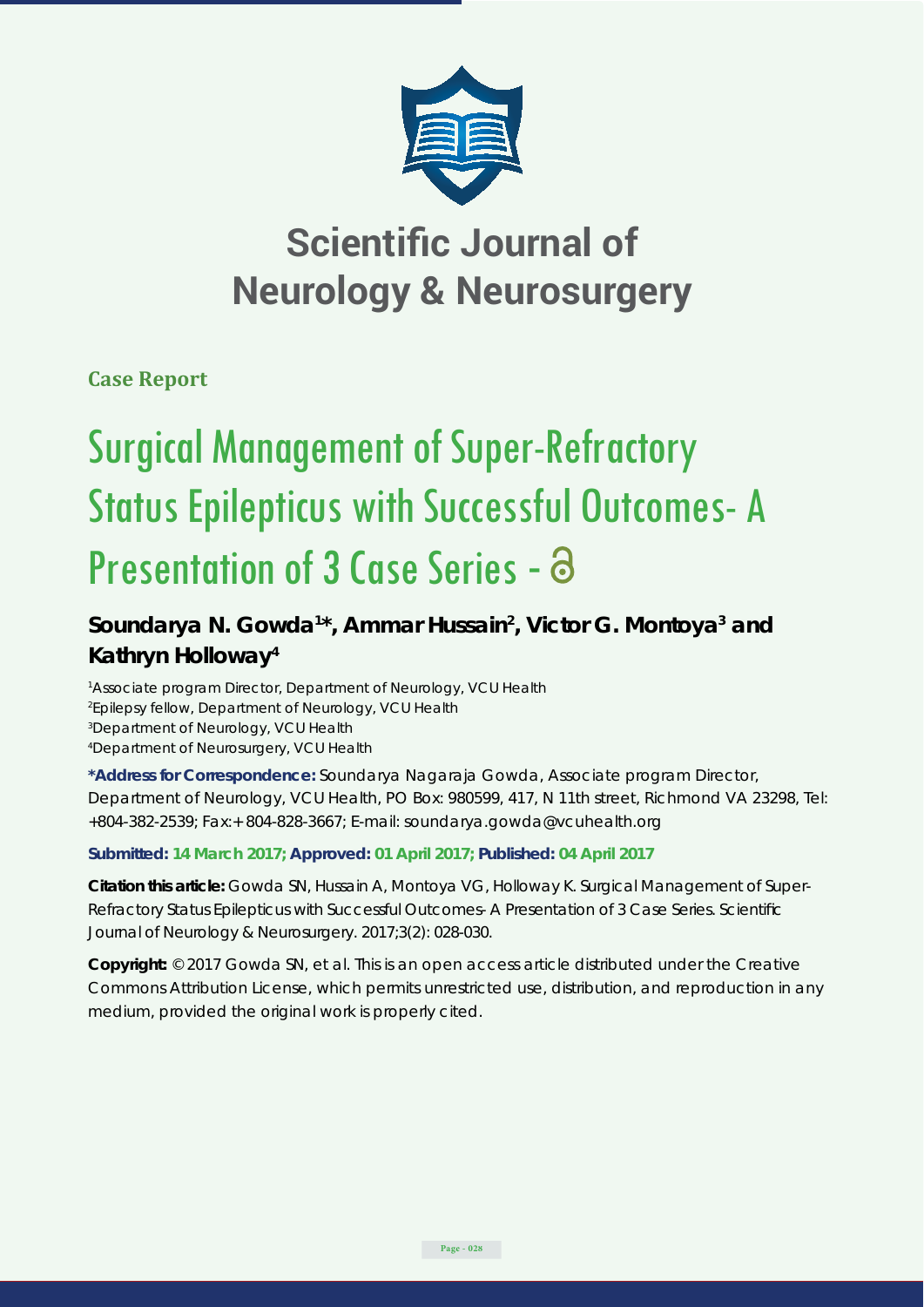

## **Scientific Journal of Neurology & Neurosurgery**

**Case Report**

# Surgical Management of Super-Refractory Status Epilepticus with Successful Outcomes- A Presentation of 3 Case Series - a

## Soundarya N. Gowda<sup>1\*</sup>, Ammar Hussain<sup>2</sup>, Victor G. Montoya<sup>3</sup> and **Kathryn Holloway4**

<sup>1</sup> Associate program Director, Department of Neurology, VCU Health *Epilepsy fellow, Department of Neurology, VCU Health Department of Neurology, VCU Health Department of Neurosurgery, VCU Health*

**\*Address for Correspondence:** Soundarya Nagaraja Gowda, Associate program Director, Department of Neurology, VCU Health, PO Box: 980599, 417, N 11th street, Richmond VA 23298, Tel: +804-382-2539; Fax:+ 804-828-3667; E-mail: soundarya.gowda@vcuhealth.org

### **Submitted: 14 March 2017; Approved: 01 April 2017; Published: 04 April 2017**

**Citation this article:** Gowda SN, Hussain A, Montoya VG, Holloway K. Surgical Management of Super-Refractory Status Epilepticus with Successful Outcomes- A Presentation of 3 Case Series. Scientific Journal of Neurology & Neurosurgery. 2017;3(2): 028-030.

**Copyright:** © 2017 Gowda SN, et al. This is an open access article distributed under the Creative Commons Attribution License, which permits unrestricted use, distribution, and reproduction in any medium, provided the original work is properly cited.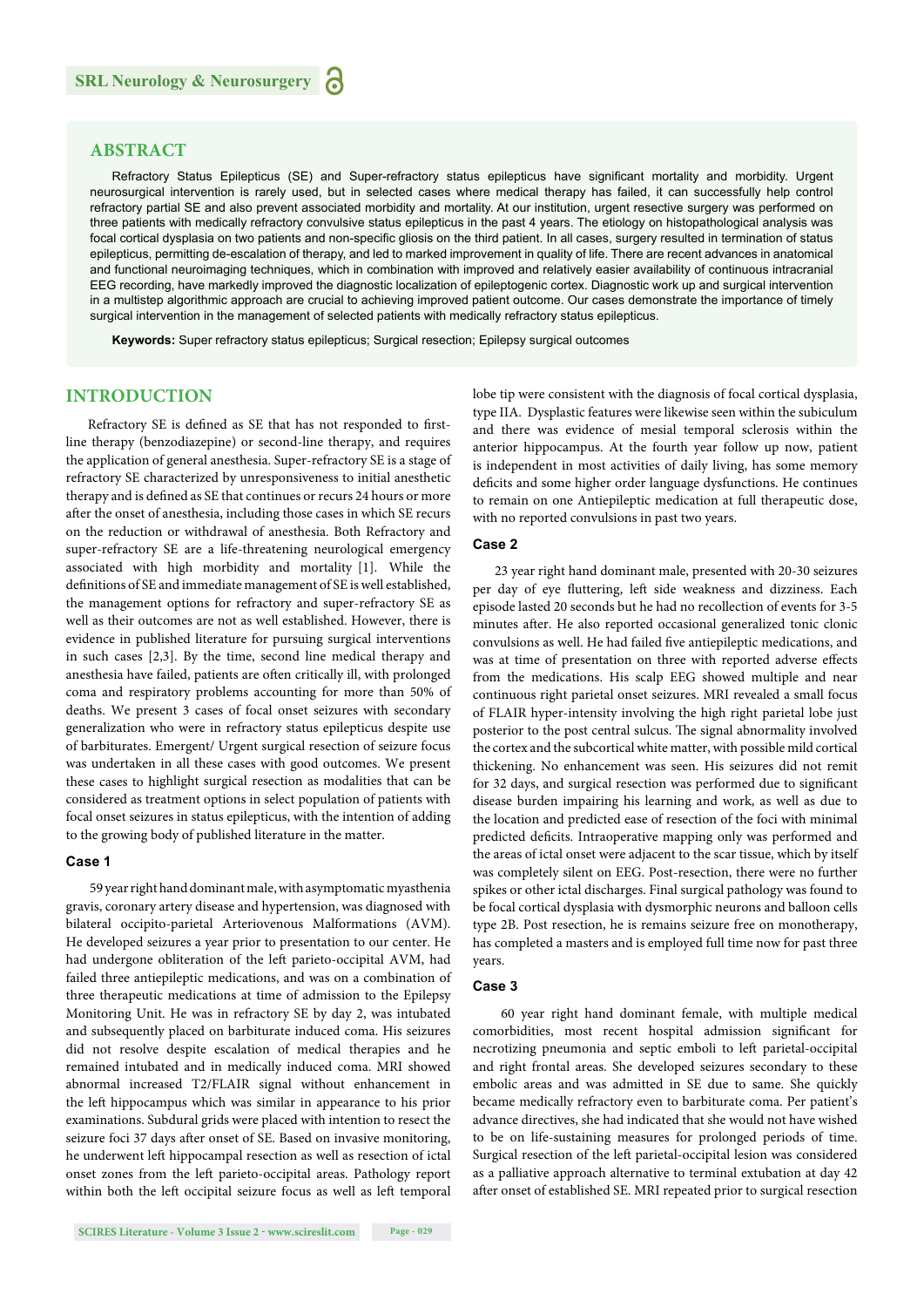#### **ABSTRACT**

Refractory Status Epilepticus (SE) and Super-refractory status epilepticus have significant mortality and morbidity. Urgent neurosurgical intervention is rarely used, but in selected cases where medical therapy has failed, it can successfully help control refractory partial SE and also prevent associated morbidity and mortality. At our institution, urgent resective surgery was performed on three patients with medically refractory convulsive status epilepticus in the past 4 years. The etiology on histopathological analysis was focal cortical dysplasia on two patients and non-specific gliosis on the third patient. In all cases, surgery resulted in termination of status epilepticus, permitting de-escalation of therapy, and led to marked improvement in quality of life. There are recent advances in anatomical and functional neuroimaging techniques, which in combination with improved and relatively easier availability of continuous intracranial EEG recording, have markedly improved the diagnostic localization of epileptogenic cortex. Diagnostic work up and surgical intervention in a multistep algorithmic approach are crucial to achieving improved patient outcome. Our cases demonstrate the importance of timely surgical intervention in the management of selected patients with medically refractory status epilepticus.

**Keywords:** Super refractory status epilepticus; Surgical resection; Epilepsy surgical outcomes

#### **INTRODUCTION**

Refractory SE is defined as SE that has not responded to firstline therapy (benzodiazepine) or second-line therapy, and requires the application of general anesthesia. Super-refractory SE is a stage of refractory SE characterized by unresponsiveness to initial anesthetic therapy and is defined as SE that continues or recurs 24 hours or more after the onset of anesthesia, including those cases in which SE recurs on the reduction or withdrawal of anesthesia. Both Refractory and super-refractory SE are a life-threatening neurological emergency associated with high morbidity and mortality [1]. While the definitions of SE and immediate management of SE is well established, the management options for refractory and super-refractory SE as well as their outcomes are not as well established. However, there is evidence in published literature for pursuing surgical interventions in such cases [2,3]. By the time, second line medical therapy and anesthesia have failed, patients are often critically ill, with prolonged coma and respiratory problems accounting for more than 50% of deaths. We present 3 cases of focal onset seizures with secondary generalization who were in refractory status epilepticus despite use of barbiturates. Emergent/ Urgent surgical resection of seizure focus was undertaken in all these cases with good outcomes. We present these cases to highlight surgical resection as modalities that can be considered as treatment options in select population of patients with focal onset seizures in status epilepticus, with the intention of adding to the growing body of published literature in the matter.

#### **Case 1**

59 year right hand dominant male, with asymptomatic myasthenia gravis, coronary artery disease and hypertension, was diagnosed with bilateral occipito-parietal Arteriovenous Malformations (AVM). He developed seizures a year prior to presentation to our center. He had undergone obliteration of the left parieto-occipital AVM, had failed three antiepileptic medications, and was on a combination of three therapeutic medications at time of admission to the Epilepsy Monitoring Unit. He was in refractory SE by day 2, was intubated and subsequently placed on barbiturate induced coma. His seizures did not resolve despite escalation of medical therapies and he remained intubated and in medically induced coma. MRI showed abnormal increased T2/FLAIR signal without enhancement in the left hippocampus which was similar in appearance to his prior examinations. Subdural grids were placed with intention to resect the seizure foci 37 days after onset of SE. Based on invasive monitoring, he underwent left hippocampal resection as well as resection of ictal onset zones from the left parieto-occipital areas. Pathology report within both the left occipital seizure focus as well as left temporal

**SCIRES Literature - Volume 3 Issue 2 - www.scireslit.com Page - 029**

lobe tip were consistent with the diagnosis of focal cortical dysplasia, type IIA. Dysplastic features were likewise seen within the subiculum and there was evidence of mesial temporal sclerosis within the anterior hippocampus. At the fourth year follow up now, patient is independent in most activities of daily living, has some memory deficits and some higher order language dysfunctions. He continues to remain on one Antiepileptic medication at full therapeutic dose, with no reported convulsions in past two years.

#### **Case 2**

23 year right hand dominant male, presented with 20-30 seizures per day of eye fluttering, left side weakness and dizziness. Each episode lasted 20 seconds but he had no recollection of events for 3-5 minutes after. He also reported occasional generalized tonic clonic convulsions as well. He had failed five antiepileptic medications, and was at time of presentation on three with reported adverse effects from the medications. His scalp EEG showed multiple and near continuous right parietal onset seizures. MRI revealed a small focus of FLAIR hyper-intensity involving the high right parietal lobe just posterior to the post central sulcus. The signal abnormality involved the cortex and the subcortical white matter, with possible mild cortical thickening. No enhancement was seen. His seizures did not remit for 32 days, and surgical resection was performed due to significant disease burden impairing his learning and work, as well as due to the location and predicted ease of resection of the foci with minimal predicted deficits. Intraoperative mapping only was performed and the areas of ictal onset were adjacent to the scar tissue, which by itself was completely silent on EEG. Post-resection, there were no further spikes or other ictal discharges. Final surgical pathology was found to be focal cortical dysplasia with dysmorphic neurons and balloon cells type 2B. Post resection, he is remains seizure free on monotherapy, has completed a masters and is employed full time now for past three years.

#### **Case 3**

 60 year right hand dominant female, with multiple medical comorbidities, most recent hospital admission significant for necrotizing pneumonia and septic emboli to left parietal-occipital and right frontal areas. She developed seizures secondary to these embolic areas and was admitted in SE due to same. She quickly became medically refractory even to barbiturate coma. Per patient's advance directives, she had indicated that she would not have wished to be on life-sustaining measures for prolonged periods of time. Surgical resection of the left parietal-occipital lesion was considered as a palliative approach alternative to terminal extubation at day 42 after onset of established SE. MRI repeated prior to surgical resection